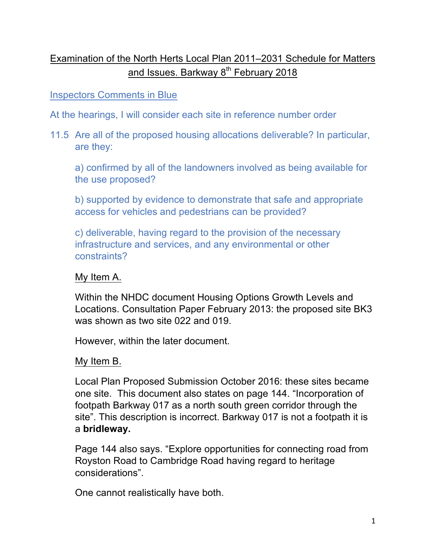# Examination of the North Herts Local Plan 2011–2031 Schedule for Matters and Issues. Barkway 8<sup>th</sup> February 2018

## Inspectors Comments in Blue

At the hearings, I will consider each site in reference number order

11.5 Are all of the proposed housing allocations deliverable? In particular, are they:

a) confirmed by all of the landowners involved as being available for the use proposed?

b) supported by evidence to demonstrate that safe and appropriate access for vehicles and pedestrians can be provided?

c) deliverable, having regard to the provision of the necessary infrastructure and services, and any environmental or other constraints?

#### My Item A.

Within the NHDC document Housing Options Growth Levels and Locations. Consultation Paper February 2013: the proposed site BK3 was shown as two site 022 and 019.

However, within the later document.

#### My Item B.

Local Plan Proposed Submission October 2016: these sites became one site. This document also states on page 144. "Incorporation of footpath Barkway 017 as a north south green corridor through the site". This description is incorrect. Barkway 017 is not a footpath it is a **bridleway.**

Page 144 also says. "Explore opportunities for connecting road from Royston Road to Cambridge Road having regard to heritage considerations".

One cannot realistically have both.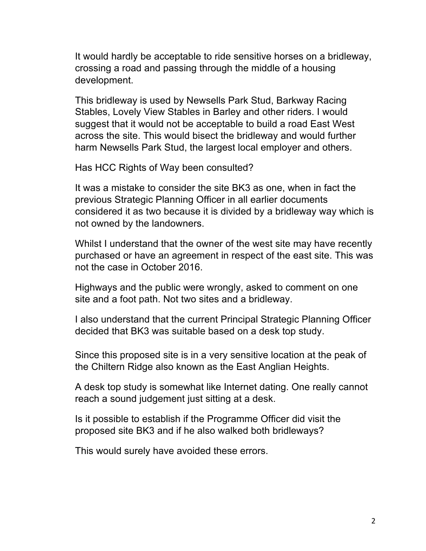It would hardly be acceptable to ride sensitive horses on a bridleway, crossing a road and passing through the middle of a housing development.

This bridleway is used by Newsells Park Stud, Barkway Racing Stables, Lovely View Stables in Barley and other riders. I would suggest that it would not be acceptable to build a road East West across the site. This would bisect the bridleway and would further harm Newsells Park Stud, the largest local employer and others.

Has HCC Rights of Way been consulted?

It was a mistake to consider the site BK3 as one, when in fact the previous Strategic Planning Officer in all earlier documents considered it as two because it is divided by a bridleway way which is not owned by the landowners.

Whilst I understand that the owner of the west site may have recently purchased or have an agreement in respect of the east site. This was not the case in October 2016.

Highways and the public were wrongly, asked to comment on one site and a foot path. Not two sites and a bridleway.

I also understand that the current Principal Strategic Planning Officer decided that BK3 was suitable based on a desk top study.

Since this proposed site is in a very sensitive location at the peak of the Chiltern Ridge also known as the East Anglian Heights.

A desk top study is somewhat like Internet dating. One really cannot reach a sound judgement just sitting at a desk.

Is it possible to establish if the Programme Officer did visit the proposed site BK3 and if he also walked both bridleways?

This would surely have avoided these errors.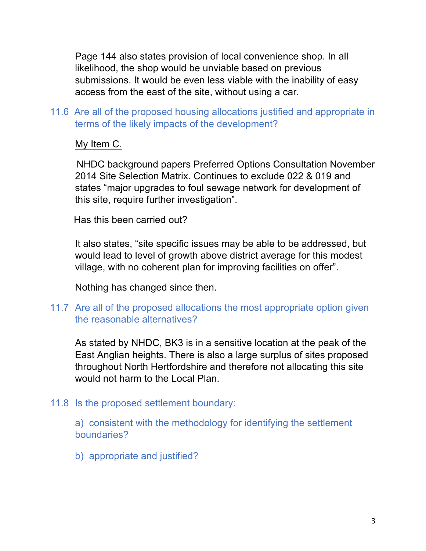Page 144 also states provision of local convenience shop. In all likelihood, the shop would be unviable based on previous submissions. It would be even less viable with the inability of easy access from the east of the site, without using a car.

# 11.6 Are all of the proposed housing allocations justified and appropriate in terms of the likely impacts of the development?

# My Item C.

 NHDC background papers Preferred Options Consultation November 2014 Site Selection Matrix. Continues to exclude 022 & 019 and states "major upgrades to foul sewage network for development of this site, require further investigation".

Has this been carried out?

It also states, "site specific issues may be able to be addressed, but would lead to level of growth above district average for this modest village, with no coherent plan for improving facilities on offer".

Nothing has changed since then.

## 11.7 Are all of the proposed allocations the most appropriate option given the reasonable alternatives?

As stated by NHDC, BK3 is in a sensitive location at the peak of the East Anglian heights. There is also a large surplus of sites proposed throughout North Hertfordshire and therefore not allocating this site would not harm to the Local Plan.

## 11.8 Is the proposed settlement boundary:

a) consistent with the methodology for identifying the settlement boundaries?

b) appropriate and justified?